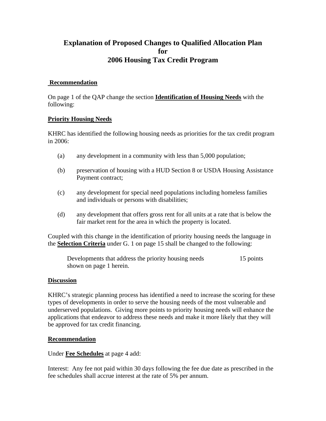# **Explanation of Proposed Changes to Qualified Allocation Plan for 2006 Housing Tax Credit Program**

## **Recommendation**

On page 1 of the QAP change the section **Identification of Housing Needs** with the following:

## **Priority Housing Needs**

KHRC has identified the following housing needs as priorities for the tax credit program in 2006:

- (a) any development in a community with less than 5,000 population;
- (b) preservation of housing with a HUD Section 8 or USDA Housing Assistance Payment contract;
- (c) any development for special need populations including homeless families and individuals or persons with disabilities;
- (d) any development that offers gross rent for all units at a rate that is below the fair market rent for the area in which the property is located.

Coupled with this change in the identification of priority housing needs the language in the **Selection Criteria** under G. 1 on page 15 shall be changed to the following:

Developments that address the priority housing needs 15 points shown on page 1 herein.

#### **Discussion**

KHRC's strategic planning process has identified a need to increase the scoring for these types of developments in order to serve the housing needs of the most vulnerable and underserved populations. Giving more points to priority housing needs will enhance the applications that endeavor to address these needs and make it more likely that they will be approved for tax credit financing.

#### **Recommendation**

#### Under **Fee Schedules** at page 4 add:

Interest: Any fee not paid within 30 days following the fee due date as prescribed in the fee schedules shall accrue interest at the rate of 5% per annum.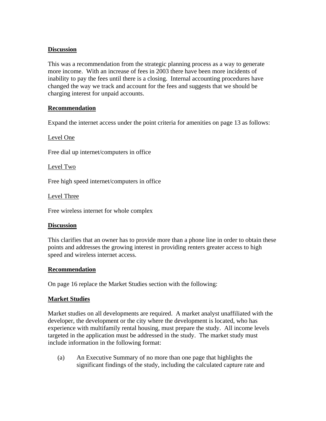## **Discussion**

This was a recommendation from the strategic planning process as a way to generate more income. With an increase of fees in 2003 there have been more incidents of inability to pay the fees until there is a closing. Internal accounting procedures have changed the way we track and account for the fees and suggests that we should be charging interest for unpaid accounts.

## **Recommendation**

Expand the internet access under the point criteria for amenities on page 13 as follows:

Level One

Free dial up internet/computers in office

Level Two

Free high speed internet/computers in office

Level Three

Free wireless internet for whole complex

#### **Discussion**

This clarifies that an owner has to provide more than a phone line in order to obtain these points and addresses the growing interest in providing renters greater access to high speed and wireless internet access.

#### **Recommendation**

On page 16 replace the Market Studies section with the following:

#### **Market Studies**

Market studies on all developments are required. A market analyst unaffiliated with the developer, the development or the city where the development is located, who has experience with multifamily rental housing, must prepare the study. All income levels targeted in the application must be addressed in the study. The market study must include information in the following format:

(a) An Executive Summary of no more than one page that highlights the significant findings of the study, including the calculated capture rate and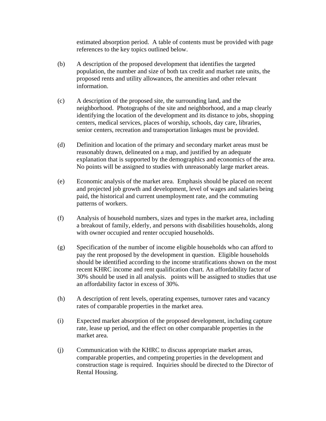estimated absorption period. A table of contents must be provided with page references to the key topics outlined below.

- (b) A description of the proposed development that identifies the targeted population, the number and size of both tax credit and market rate units, the proposed rents and utility allowances, the amenities and other relevant information.
- (c) A description of the proposed site, the surrounding land, and the neighborhood. Photographs of the site and neighborhood, and a map clearly identifying the location of the development and its distance to jobs, shopping centers, medical services, places of worship, schools, day care, libraries, senior centers, recreation and transportation linkages must be provided.
- (d) Definition and location of the primary and secondary market areas must be reasonably drawn, delineated on a map, and justified by an adequate explanation that is supported by the demographics and economics of the area. No points will be assigned to studies with unreasonably large market areas.
- (e) Economic analysis of the market area. Emphasis should be placed on recent and projected job growth and development, level of wages and salaries being paid, the historical and current unemployment rate, and the commuting patterns of workers.
- (f) Analysis of household numbers, sizes and types in the market area, including a breakout of family, elderly, and persons with disabilities households, along with owner occupied and renter occupied households.
- (g) Specification of the number of income eligible households who can afford to pay the rent proposed by the development in question. Eligible households should be identified according to the income stratifications shown on the most recent KHRC income and rent qualification chart. An affordability factor of 30% should be used in all analysis. points will be assigned to studies that use an affordability factor in excess of 30%.
- (h) A description of rent levels, operating expenses, turnover rates and vacancy rates of comparable properties in the market area.
- (i) Expected market absorption of the proposed development, including capture rate, lease up period, and the effect on other comparable properties in the market area.
- (j) Communication with the KHRC to discuss appropriate market areas, comparable properties, and competing properties in the development and construction stage is required. Inquiries should be directed to the Director of Rental Housing.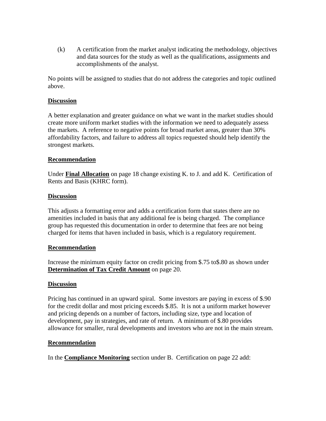(k) A certification from the market analyst indicating the methodology, objectives and data sources for the study as well as the qualifications, assignments and accomplishments of the analyst.

No points will be assigned to studies that do not address the categories and topic outlined above.

### **Discussion**

A better explanation and greater guidance on what we want in the market studies should create more uniform market studies with the information we need to adequately assess the markets. A reference to negative points for broad market areas, greater than 30% affordability factors, and failure to address all topics requested should help identify the strongest markets.

#### **Recommendation**

Under **Final Allocation** on page 18 change existing K. to J. and add K. Certification of Rents and Basis (KHRC form).

## **Discussion**

This adjusts a formatting error and adds a certification form that states there are no amenities included in basis that any additional fee is being charged. The compliance group has requested this documentation in order to determine that fees are not being charged for items that haven included in basis, which is a regulatory requirement.

#### **Recommendation**

Increase the minimum equity factor on credit pricing from \$.75 to\$.80 as shown under **Determination of Tax Credit Amount** on page 20.

#### **Discussion**

Pricing has continued in an upward spiral. Some investors are paying in excess of \$.90 for the credit dollar and most pricing exceeds \$.85. It is not a uniform market however and pricing depends on a number of factors, including size, type and location of development, pay in strategies, and rate of return. A minimum of \$.80 provides allowance for smaller, rural developments and investors who are not in the main stream.

#### **Recommendation**

In the **Compliance Monitoring** section under B. Certification on page 22 add: